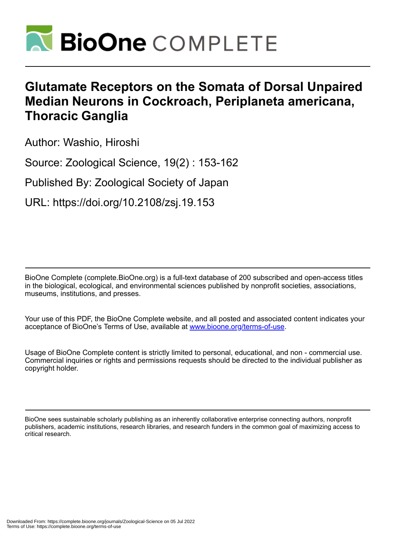

# **Glutamate Receptors on the Somata of Dorsal Unpaired Median Neurons in Cockroach, Periplaneta americana, Thoracic Ganglia**

Author: Washio, Hiroshi

Source: Zoological Science, 19(2) : 153-162

Published By: Zoological Society of Japan

URL: https://doi.org/10.2108/zsj.19.153

BioOne Complete (complete.BioOne.org) is a full-text database of 200 subscribed and open-access titles in the biological, ecological, and environmental sciences published by nonprofit societies, associations, museums, institutions, and presses.

Your use of this PDF, the BioOne Complete website, and all posted and associated content indicates your acceptance of BioOne's Terms of Use, available at www.bioone.org/terms-of-use.

Usage of BioOne Complete content is strictly limited to personal, educational, and non - commercial use. Commercial inquiries or rights and permissions requests should be directed to the individual publisher as copyright holder.

BioOne sees sustainable scholarly publishing as an inherently collaborative enterprise connecting authors, nonprofit publishers, academic institutions, research libraries, and research funders in the common goal of maximizing access to critical research.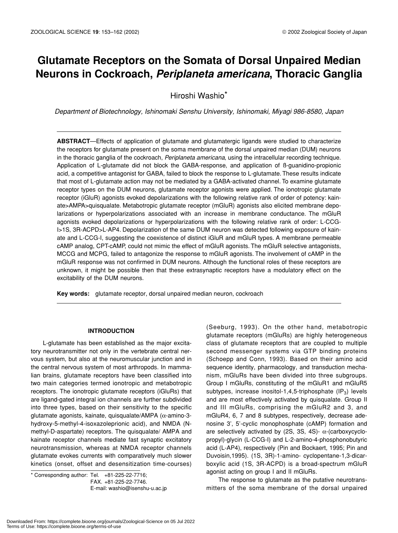# **Glutamate Receptors on the Somata of Dorsal Unpaired Median Neurons in Cockroach,** *Periplaneta americana***, Thoracic Ganglia**

Hiroshi Washio\*

*Department of Biotechnology, Ishinomaki Senshu University, Ishinomaki, Miyagi 986-8580, Japan*

**ABSTRACT**—Effects of application of glutamate and glutamatergic ligands were studied to characterize the receptors for glutamate present on the soma membrane of the dorsal unpaired median (DUM) neurons in the thoracic ganglia of the cockroach, *Periplaneta americana*, using the intracellular recording technique. Application of L-glutamate did not block the GABA-response, and application of ß-guanidino-propionic acid, a competitive antagonist for GABA, failed to block the response to L-glutamate. These results indicate that most of L-glutamate action may not be mediated by a GABA-activated channel. To examine glutamate receptor types on the DUM neurons, glutamate receptor agonists were applied. The ionotropic glutamate receptor (iGluR) agonists evoked depolarizations with the following relative rank of order of potency: kainate>AMPA>quisqualate. Metabotropic glutamate receptor (mGluR) agonists also elicited membrane depolarizations or hyperpolarizations associated with an increase in membrane conductance. The mGluR agonists evoked depolarizations or hyperpolarizations with the following relative rank of order: L-CCG-I>1S, 3R-ACPD>L-AP4. Depolarization of the same DUM neuron was detected following exposure of kainate and L-CCG-I, suggesting the coexistence of distinct iGluR and mGluR types. A membrane permeable cAMP analog, CPT-cAMP, could not mimic the effect of mGluR agonists. The mGluR selective antagonists, MCCG and MCPG, failed to antagonize the response to mGluR agonists. The involvement of cAMP in the mGluR response was not confirmed in DUM neurons. Although the functional roles of these receptors are unknown, it might be possible then that these extrasynaptic receptors have a modulatory effect on the excitability of the DUM neurons.

**Key words:** glutamate receptor, dorsal unpaired median neuron, cockroach

# **INTRODUCTION**

L-glutamate has been established as the major excitatory neurotransmitter not only in the vertebrate central nervous system, but also at the neuromuscular junction and in the central nervous system of most arthropods. In mammalian brains, glutamate receptors have been classified into two main categories termed ionotropic and metabotropic receptors. The ionotropic glutamate receptors (iGluRs) that are ligand-gated integral ion channels are further subdivided into three types, based on their sensitivity to the specific glutamate agonists, kainate, quisqualate/AMPA (α-amino-3 hydroxy-5-methyl-4-isoxazoleprionic acid), and NMDA (Nmethyl-D-aspartate) receptors. The quisqualate/ AMPA and kainate receptor channels mediate fast synaptic excitatory neurotransmission, whereas at NMDA receptor channels glutamate evokes currents with comparatively much slower kinetics (onset, offset and desensitization time-courses)

\* Corresponding author: Tel. +81-225-22-7716; FAX. +81-225-22-7746.

E-mail: washio@isenshu-u.ac.jp

(Seeburg, 1993). On the other hand, metabotropic glutamate receptors (mGluRs) are highly heterogeneous class of glutamate receptors that are coupled to multiple second messenger systems via GTP binding proteins (Schoepp and Conn, 1993). Based on their amino acid sequence identity, pharmacology, and transduction mechanism, mGluRs have been divided into three subgroups. Group I mGluRs, constituting of the mGluR1 and mGluR5 subtypes, increase inositol-1,4,5-triphosphate  $(IP_3)$  levels and are most effectively activated by quisqualate. Group II and III mGluRs, comprising the mGluR2 and 3, and mGluR4, 6, 7 and 8 subtypes, respectively, decrease adenosine 3', 5'-cyclic monophosphate (cAMP) formation and are selectively activated by (2S, 3S, 4S)- $\alpha$ -(carboxycyclopropyl)-glycin (L-CCG-I) and L-2-amino-4-phosphonobutyric acid (L-AP4), respectively (Pin and Bockaert, 1995; Pin and Duvoisin,1995). (1S, 3R)-1-amino- cyclopentane-1,3-dicarboxylic acid (1S, 3R-ACPD) is a broad-spectrum mGluR agonist acting on group I and II mGluRs.

The response to glutamate as the putative neurotransmitters of the soma membrane of the dorsal unpaired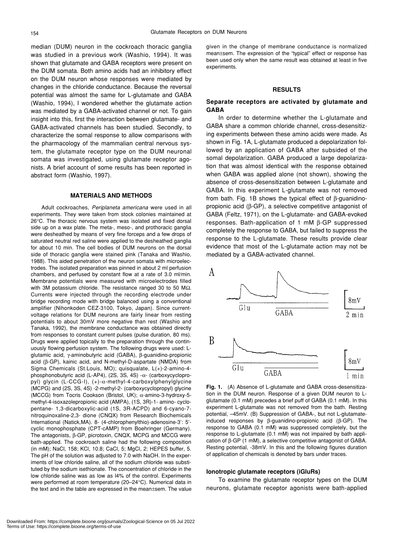median (DUM) neuron in the cockroach thoracic ganglia was studied in a previous work (Washio, 1994). It was shown that glutamate and GABA receptors were present on the DUM somata. Both amino acids had an inhibitory effect on the DUM neuron whose responses were mediated by changes in the chloride conductance. Because the reversal potential was almost the same for L-glutamate and GABA (Washio, 1994), I wondered whether the glutamate action was mediated by a GABA-activated channel or not. To gain insight into this, first the interaction between glutamate- and GABA-activated channels has been studied. Secondly, to characterize the somal response to allow comparisons with the pharmacology of the mammalian central nervous system, the glutamate receptor type on the DUM neuronal somata was investigated, using glutamate receptor agonists. A brief account of some results has been reported in abstract form (Washio, 1997).

## **MATERIALS AND METHODS**

Adult cockroaches, *Periplaneta americana* were used in all experiments. They were taken from stock colonies maintained at 26°C. The thoracic nervous system was isolated and fixed dorsal side up on a wax plate. The meta-, meso-, and prothoracic ganglia were desheathed by means of very fine forceps and a few drops of saturated neutral red saline were applied to the desheathed ganglia for about 10 min. The cell bodies of DUM neurons on the dorsal side of thoracic ganglia were stained pink (Tanaka and Washio, 1988). This aided penetration of the neuron somata with microelectrodes. The isolated preparation was pinned in about 2 ml perfusion chambers, and perfused by constant flow at a rate of 3.0 ml/min. Membrane potentials were measured with microelectrodes filled with 3M potassium chloride. The resistance ranged 30 to 50 MΩ. Currents were injected through the recording electrode under bridge recording mode with bridge balanced using a conventional amplifier (Nihonkoden CEZ-3100, Tokyo, Japan). Since currentvoltage relations for DUM neurons are fairly linear from resting potentials to about 30mV more negative than rest (Washio and Tanaka, 1992), the membrane conductance was obtained directly from responses to constant current pulses (pulse duration, 80 ms). Drugs were applied topically to the preparation through the continuously flowing perfusion system. The following drugs were used: Lglutamic acid, γ-aminobutyric acid (GABA), β-guanidino-propionic acid (β-GP), kainic acid, and N-methyl-D-aspartate (NMDA) from Sigma Chemicals (St.Louis, MO); quisqualate, L(+)-2-amino-4 phosphonobutyric acid (L-AP4), (2S, 3S, 4S) -α- (carboxycyclopropyl) glycin (L-CCG-I), (+)-α-methyl-4-carboxylphenylglycine (MCPG) and (2S, 3S, 4S) -2-methyl-2- (carboxycyclopropyl) glycine (MCCG) from Tocris Cookson (Bristol, UK); α-amino-3-hydroxy-5 methyl-4-isoxazolepropionic acid (AMPA), (1S, 3R)-1- amino- cyclopentane- 1,3-dicarboxylic-acid (1S, 3R-ACPD) and 6-cyano-7 nitroquinoxaline-2,3- dione (CNQX) from Research Biochemicals International (Natick,MA). 8- (4-chlorophenylthio)-adenosine-3': 5' cyclic monophosphate (CPT-cAMP) from Boehringer (Germany). The antagonists, β-GP, picrotoxin, CNQX, MCPG and MCCG were bath-applied. The cockroach saline had the following composition (in mM); NaCl, 158; KCl, 10.8; CaCl, 5; MgCl, 2; HEPES buffer, 5. The pH of the solution was adjusted to 7.0 with NaOH. In the experiments of low chloride saline, all of the sodium chloride was substituted by the sodium isethionate. The concentration of chloride in the low chloride saline was as low as l4% of the control. Experiments were performed at room temperature (20–24°C). Numerical data in the text and in the table are expressed in the mean±sem. The value given in the change of membrane conductance is normalized mean±sem. The expression of the "typical" effect or response has been used only when the same result was obtained at least in five experiments.

# **RESULTS**

# **Separate receptors are activated by glutamate and GABA**

In order to determine whether the L-glutamate and GABA share a common chloride channel, cross-desensitizing experiments between these amino acids were made. As shown in Fig. 1A, L-glutamate produced a depolarization followed by an application of GABA after subsided of the somal depolarization. GABA produced a large depolarization that was almost identical with the response obtained when GABA was applied alone (not shown), showing the absence of cross-desensitization between L-glutamate and GABA. In this experiment L-glutamate was not removed from bath. Fig. 1B shows the typical effect of β-guanidinopropionic acid (β-GP), a selective competitive antagonist of GABA (Feltz, 1971), on the L-glutamate- and GABA-evoked responses. Bath-application of 1 mM β-GP suppressed completely the response to GABA, but failed to suppress the response to the L-glutamate. These results provide clear evidence that most of the L-glutamate action may not be mediated by a GABA-activated channel.



**Fig. 1.** (A) Absence of L-glutamate and GABA cross-desensitization in the DUM neuron. Response of a given DUM neuron to Lglutamate (0.1 mM) precedes a brief puff of GABA (0.1 mM). In this experiment L-glutamate was not removed from the bath. Resting potential, –45mV. (B) Suppression of GABA-, but not L-glutamateinduced responses by β-guanidino-propionic acid (β-GP). The response to GABA (0.1 mM) was suppressed completely, but the response to L-glutamate (0.1 mM) was not impaired by bath application of β-GP (1 mM), a selective competitive antagonist of GABA. Resting potential, -38mV. In this and the following figures duration of application of chemicals is denoted by bars under traces.

#### **Ionotropic glutamate receptors (iGluRs)**

To examine the glutamate receptor types on the DUM neurons, glutamate receptor agonists were bath-applied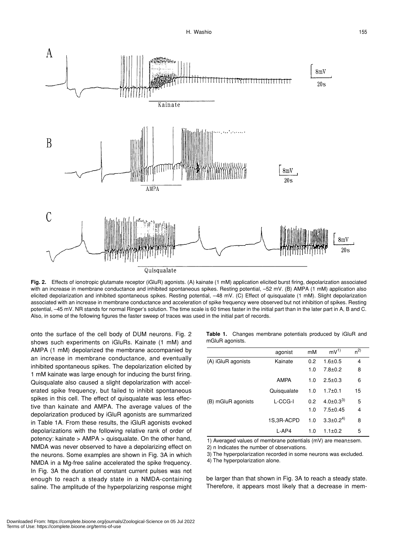

**Fig. 2.** Effects of ionotropic glutamate receptor (iGluR) agonists. (A) kainate (1 mM) application elicited burst firing, depolarization associated with an increase in membrane conductance and inhibited spontaneous spikes. Resting potential, –52 mV. (B) AMPA (1 mM) application also elicited depolarization and inhibited spontaneous spikes. Resting potential, –48 mV. (C) Effect of quisqualate (1 mM). Slight depolarization associated with an increase in membrane conductance and acceleration of spike frequency were observed but not inhibition of spikes. Resting potential, –45 mV. NR stands for normal Ringer's solution. The time scale is 60 times faster in the initial part than in the later part in A, B and C. Also, in some of the following figures the faster sweep of traces was used in the initial part of records.

onto the surface of the cell body of DUM neurons. Fig. 2 shows such experiments on iGluRs. Kainate (1 mM) and AMPA (1 mM) depolarized the membrane accompanied by an increase in membrane conductance, and eventually inhibited spontaneous spikes. The depolarization elicited by 1 mM kainate was large enough for inducing the burst firing. Quisqualate also caused a slight depolarization with accelerated spike frequency, but failed to inhibit spontaneous spikes in this cell. The effect of quisqualate was less effective than kainate and AMPA. The average values of the depolarization produced by iGluR agonists are summarized in Table 1A. From these results, the iGluR agonists evoked depolarizations with the following relative rank of order of potency: kainate > AMPA > quisqualate. On the other hand, NMDA was never observed to have a depolarizing effect on the neurons. Some examples are shown in Fig. 3A in which NMDA in a Mg-free saline accelerated the spike frequency. In Fig. 3A the duration of constant current pulses was not enough to reach a steady state in a NMDA-containing saline. The amplitude of the hyperpolarizing response might **Table 1.** Changes membrane potentials produced by iGluR and mGluR agonists.

|                    | agonist     | mM  | $mv^{1}$          | n <sup>2</sup> |  |
|--------------------|-------------|-----|-------------------|----------------|--|
| (A) iGluR agonists | Kainate     | 0.2 | $1.6 + 0.5$       | 4              |  |
|                    |             | 1.0 | $7.8 + 0.2$       | 8              |  |
|                    | <b>AMPA</b> | 1.0 | $2.5 \pm 0.3$     | 6              |  |
|                    | Quisqualate | 1.0 | $1.7 + 0.1$       | 15             |  |
| (B) mGluR agonists | L-CCG-I     | 0.2 | $4.0 \pm 0.3^{3}$ | 5              |  |
|                    |             | 1.0 | $7.5 \pm 0.45$    | 4              |  |
|                    | 1S,3R-ACPD  | 1.0 | $3.3 \pm 0.2^{4}$ | 8              |  |
|                    | L-AP4       | 1.0 | $1.1 \pm 0.2$     | 5              |  |

1) Averaged values of membrane potentials (mV) are mean±sem.

2) n Indicates the number of observations.

3) The hyperpolarization recorded in some neurons was excluded.

4) The hyperpolarization alone.

be larger than that shown in Fig. 3A to reach a steady state. Therefore, it appears most likely that a decrease in mem-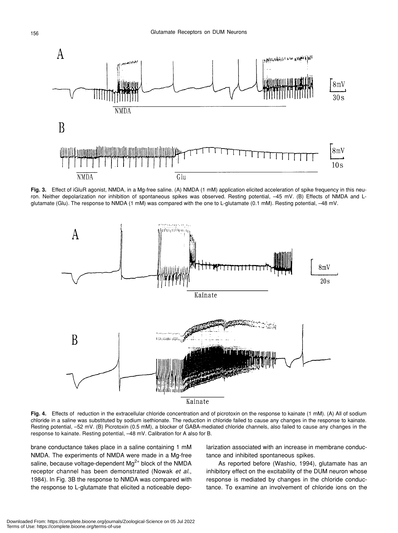

**Fig. 3.** Effect of iGluR agonist, NMDA, in a Mg-free saline. (A) NMDA (1 mM) application elicited acceleration of spike frequency in this neuron. Neither depolarization nor inhibition of spontaneous spikes was observed. Resting potential, –45 mV. (B) Effects of NMDA and Lglutamate (Glu). The response to NMDA (1 mM) was compared with the one to L-glutamate (0.1 mM). Resting potential, –48 mV.



**Fig. 4.** Effects of reduction in the extracellular chloride concentration and of picrotoxin on the response to kainate (1 mM). (A) All of sodium chloride in a saline was substituted by sodium isethionate. The reduction in chloride failed to cause any changes in the response to kainate. Resting potential, –52 mV. (B) Picrotoxin (0.5 mM), a blocker of GABA-mediated chloride channels, also failed to cause any changes in the response to kainate. Resting potential, –48 mV. Calibration for A also for B.

brane conductance takes place in a saline containing 1 mM NMDA. The experiments of NMDA were made in a Mg-free saline, because voltage-dependent  $Mg^{2+}$  block of the NMDA receptor channel has been demonstrated (Nowak *et al*., 1984). In Fig. 3B the response to NMDA was compared with the response to L-glutamate that elicited a noticeable depolarization associated with an increase in membrane conductance and inhibited spontaneous spikes.

As reported before (Washio, 1994), glutamate has an inhibitory effect on the excitability of the DUM neuron whose response is mediated by changes in the chloride conductance. To examine an involvement of chloride ions on the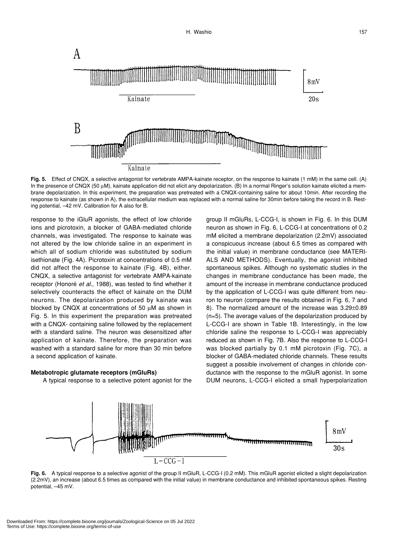

**Fig. 5.** Effect of CNQX, a selective antagonist for vertebrate AMPA-kainate receptor, on the response to kainate (1 mM) in the same cell. (A) In the presence of CNQX (50 µM), kainate application did not elicit any depolarization. (B) In a normal Ringer's solution kainate elicited a membrane depolarization. In this experiment, the preparation was pretreated with a CNQX-containing saline for about 10min. After recording the response to kainate (as shown in A), the extracellular medium was replaced with a normal saline for 30min before taking the record in B. Resting potential, –42 mV. Calibration for A also for B.

response to the iGluR agonists, the effect of low chloride ions and picrotoxin, a blocker of GABA-mediated chloride channels, was investigated. The response to kainate was not altered by the low chloride saline in an experiment in which all of sodium chloride was substituted by sodium isethionate (Fig. 4A). Picrotoxin at concentrations of 0.5 mM did not affect the response to kainate (Fig. 4B), either. CNQX, a selective antagonist for vertebrate AMPA-kainate receptor (Honoré *et al*., 1988), was tested to find whether it selectively counteracts the effect of kainate on the DUM neurons. The depolarization produced by kainate was blocked by CNQX at concentrations of 50 µM as shown in Fig. 5. In this experiment the preparation was pretreated with a CNQX- containing saline followed by the replacement with a standard saline. The neuron was desensitized after application of kainate. Therefore, the preparation was washed with a standard saline for more than 30 min before a second application of kainate.

#### **Metabotropic glutamate receptors (mGluRs)**

A typical response to a selective potent agonist for the

group II mGluRs, L-CCG-I, is shown in Fig. 6. In this DUM neuron as shown in Fig. 6, L-CCG-I at concentrations of 0.2 mM elicited a membrane depolarization (2.2mV) associated a conspicuous increase (about 6.5 times as compared with the initial value) in membrane conductance (see MATERI-ALS AND METHODS). Eventually, the agonist inhibited spontaneous spikes. Although no systematic studies in the changes in membrane conductance has been made, the amount of the increase in membrane conductance produced by the application of L-CCG-I was quite different from neuron to neuron (compare the results obtained in Fig. 6, 7 and 8). The normalized amount of the increase was 3.29±0.89 (n=5). The average values of the depolarization produced by L-CCG-I are shown in Table 1B. Interestingly, in the low chloride saline the response to L-CCG-I was appreciably reduced as shown in Fig. 7B. Also the response to L-CCG-I was blocked partially by 0.1 mM picrotoxin (Fig. 7C), a blocker of GABA-mediated chloride channels. These results suggest a possible involvement of changes in chloride conductance with the response to the mGluR agonist. In some DUM neurons, L-CCG-I elicited a small hyperpolarization



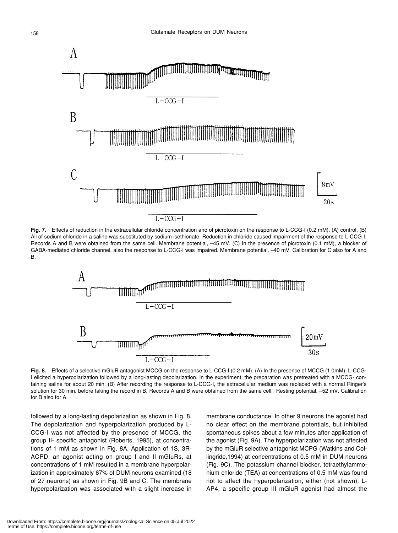

**Fig. 7.** Effects of reduction in the extracellular chloride concentration and of picrotoxin on the response to L-CCG-I (0.2 mM). (A) control. (B) All of sodium chloride in a saline was substituted by sodium isethionate. Reduction in chloride caused impairment of the response to L-CCG-I. Records A and B were obtained from the same cell. Membrane potential, –45 mV. (C) In the presence of picrotoxin (0.1 mM), a blocker of GABA-mediated chloride channel, also the response to L-CCG-I was impaired. Membrane potential, –40 mV. Calibration for C also for A and B.



**Fig. 8.** Effects of a selective mGluR antagonist MCCG on the response to L-CCG-I (0.2 mM). (A) In the presence of MCCG (1.0mM), L-CCG-I elicited a hyperpolarization followed by a long-lasting depolarization. In the experiment, the preparation was pretreated with a MCCG- containing saline for about 20 min. (B) After recording the response to L-CCG-I, the extracellular medium was replaced with a normal Ringer's solution for 30 min. before taking the record in B. Records A and B were obtained from the same cell. Resting potential, -52 mV. Calibration for B also for A.

followed by a long-lasting depolarization as shown in Fig. 8. The depolarization and hyperpolarization produced by L-CCG-I was not affected by the presence of MCCG, the group II- specific antagonist (Roberts, 1995), at concentrations of 1 mM as shown in Fig. 8A. Application of 1S, 3R-ACPD, an agonist acting on group I and II mGluRs, at concentrations of 1 mM resulted in a membrane hyperpolarization in approximately 67% of DUM neurons examined (18 of 27 neurons) as shown in Fig. 9B and C. The membrane hyperpolarization was associated with a slight increase in membrane conductance. In other 9 neurons the agonist had no clear effect on the membrane potentials, but inhibited spontaneous spikes about a few minutes after application of the agonist (Fig. 9A). The hyperpolarization was not affected by the mGluR selective antagonist MCPG (Watkins and Collingride,1994) at concentrations of 0.5 mM in DUM neurons (Fig. 9C). The potassium channel blocker, tetraethylammonium chloride (TEA) at concentrations of 0.5 mM was found not to affect the hyperpolarization, either (not shown). L-AP4, a specific group III mGluR agonist had almost the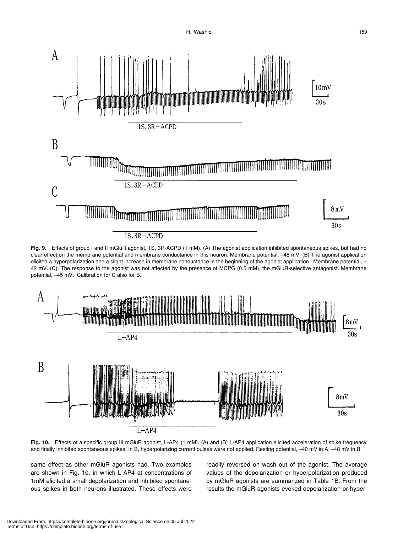

**Fig. 9.** Effects of group I and II mGluR agonist, 1S, 3R-ACPD (1 mM). (A) The agonist application inhibited spontaneous spikes, but had no clear effect on the membrane potential and membrane conductance in this neuron. Membrane potential, –48 mV. (B) The agonist application elicited a hyperpolarization and a slight increase in membrane conductance in the beginning of the agonist application . Membrane potential, -42 mV. (C). The response to the agonist was not affected by the presence of MCPG (0.5 mM), the mGluR-selective antagonist. Membrane potential, –45 mV. Calibration for C also for B.



**Fig. 10.** Effects of a specific group III mGluR agonist, L-AP4 (1 mM). (A) and (B) L-AP4 application elicited acceleration of spike frequency and finally inhibited spontaneous spikes. In B, hyperpolarizing current pulses were not applied. Resting potential, -40 mV in A; -48 mV in B.

same effect as other mGluR agonists had. Two examples are shown in Fig. 10, in which L-AP4 at concentrations of 1mM elicited a small depolarization and inhibited spontaneous spikes in both neurons illustrated. These effects were

readily reversed on wash out of the agonist. The average values of the depolarization or hyperpolarization produced by mGluR agonists are summarized in Table 1B. From the results the mGluR agonists evoked depolarization or hyper-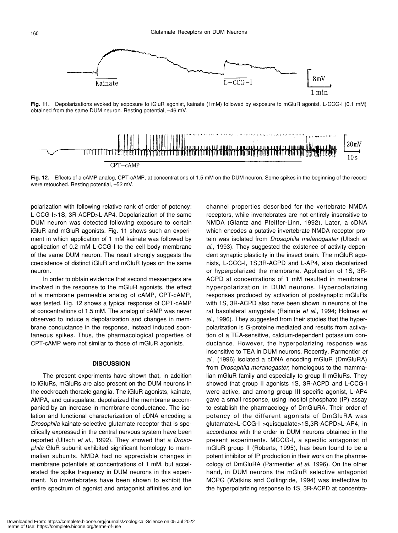

**Fig. 11.** Depolarizations evoked by exposure to iGluR agonist, kainate (1mM) followed by exposure to mGluR agonist, L-CCG-I (0.1 mM) obtained from the same DUM neuron. Resting potential, –46 mV.



**Fig. 12.** Effects of a cAMP analog, CPT-cAMP, at concentrations of 1.5 mM on the DUM neuron. Some spikes in the beginning of the record were retouched. Resting potential, –52 mV.

polarization with following relative rank of order of potency: L-CCG-I>1S, 3R-ACPD>L-AP4. Depolarization of the same DUM neuron was detected following exposure to certain iGluR and mGluR agonists. Fig. 11 shows such an experiment in which application of 1 mM kainate was followed by application of 0.2 mM L-CCG-I to the cell body membrane of the same DUM neuron. The result strongly suggests the coexistence of distinct iGluR and mGluR types on the same neuron.

In order to obtain evidence that second messengers are involved in the response to the mGluR agonists, the effect of a membrane permeable analog of cAMP, CPT-cAMP, was tested. Fig. 12 shows a typical response of CPT-cAMP at concentrations of 1.5 mM. The analog of cAMP was never observed to induce a depolarization and changes in membrane conductance in the response, instead induced spontaneous spikes. Thus, the pharmacological properties of CPT-cAMP were not similar to those of mGluR agonists.

#### **DISCUSSION**

The present experiments have shown that, in addition to iGluRs, mGluRs are also present on the DUM neurons in the cockroach thoracic ganglia. The iGluR agonists, kainate, AMPA, and quisqualate, depolarized the membrane accompanied by an increase in membrane conductance. The isolation and functional characterization of cDNA encoding a *Drosophila* kainate-selective glutamate receptor that is specifically expressed in the central nervous system have been reported (Ultsch *et al*., 1992). They showed that a *Drosophila* GluR subunit exhibited significant homology to mammalian subunits. NMDA had no appreciable changes in membrane potentials at concentrations of 1 mM, but accelerated the spike frequency in DUM neurons in this experiment. No invertebrates have been shown to exhibit the entire spectrum of agonist and antagonist affinities and ion channel properties described for the vertebrate NMDA receptors, while invertebrates are not entirely insensitive to NMDA (Glantz and Pfeiffer-Linn, 1992). Later, a cDNA which encodes a putative invertebrate NMDA receptor protein was isolated from *Drosophila melanogaster* (Ultsch *et al*., 1993). They suggested the existence of activity-dependent synaptic plasticity in the insect brain. The mGluR agonists, L-CCG-I, 1S,3R-ACPD and L-AP4, also depolarized or hyperpolarized the membrane. Application of 1S, 3R-ACPD at concentrations of 1 mM resulted in membrane hyperpolarization in DUM neurons. Hyperpolarizing responses produced by activation of postsynaptic mGluRs with 1S, 3R-ACPD also have been shown in neurons of the rat basolateral amygdala (Rainnie *et al*., 1994; Holmes *et al*., 1996). They suggested from their studies that the hyperpolarization is G-proteine mediated and results from activation of a TEA-sensitive, calcium-dependent potassium conductance. However, the hyperpolarizing response was insensitive to TEA in DUM neurons. Recently, Parmentier *et al*., (1996) isolated a cDNA encoding mGluR (DmGluRA) from *Drosophila meranogaster*, homologous to the mammalian mGluR family and especially to group II mGluRs. They showed that group II agonists 1S, 3R-ACPD and L-CCG-I were active, and among group III specific agonist, L-AP4 gave a small response, using inositol phosphate (IP) assay to establish the pharmacology of DmGluRA. Their order of potency of the different agonists of DmGluRA was glutamate>L-CCG-I >quisqualate>1S,3R-ACPD>L-AP4, in accordance with the order in DUM neurons obtained in the present experiments. MCCG-I, a specific antagonist of mGluR group II (Roberts, 1995), has been found to be a potent inhibitor of IP production in their work on the pharmacology of DmGluRA (Parmentier *et al*. 1996). On the other hand, in DUM neurons the mGluR selective antagonist MCPG (Watkins and Collingride, 1994) was ineffective to the hyperpolarizing response to 1S, 3R-ACPD at concentra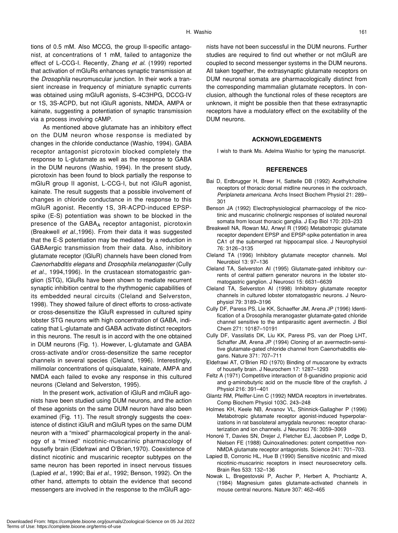tions of 0.5 mM. Also MCCG, the group II-specific antagonist, at concentrations of 1 mM, failed to antagonize the effect of L-CCG-I. Recently, Zhang *et al*. (1999) reported that activation of mGluRs enhances synaptic transmission at the *Drosophila* neuromuscular junction. In their work a transient increase in frequency of miniature synaptic currents was obtained using mGluR agonists, S-4C3HPG, DCCG-IV or 1S, 3S-ACPD, but not iGluR agonists, NMDA, AMPA or kainate, suggesting a potentiation of synaptic transmission via a process involving cAMP.

As mentioned above glutamate has an inhibitory effect on the DUM neuron whose response is mediated by changes in the chloride conductance (Washio, 1994). GABA receptor antagonist picrotoxin blocked completely the response to L-glutamate as well as the response to GABA in the DUM neurons (Washio, 1994). In the present study, picrotoxin has been found to block partially the response to mGluR group II agonist, L-CCG-I, but not iGluR agonist, kainate. The result suggests that a possible involvement of changes in chloride conductance in the response to this mGluR agonist. Recently 1S, 3R-ACPD-induced EPSPspike (E-S) potentiation was shown to be blocked in the presence of the GABAA receptor antagonist, picrotoxin (Breakwell *et al*.,1996). From their data it was suggested that the E-S potentiation may be mediated by a reduction in GABAergic transmission from their data. Also, inhibitory glutamate receptor (IGluR) channels have been cloned from *Caenorhabditis elegans* and *Drosophila melanogaster* (Cully *et al*., 1994,1996). In the crustacean stomatogastric ganglion (STG), IGluRs have been shown to mediate recurrent synaptic inhibition central to the rhythmogenic capabilities of its embedded neural circuits (Cleland and Selverston, 1998). They showed failure of direct efforts to cross-activate or cross-desensitize the IGluR expressed in cultured spiny lobster STG neurons with high concentration of GABA, indicating that L-glutamate and GABA activate distinct receptors in this neurons. The result is in accord with the one obtained in DUM neurons (Fig. 1). However, L-glutamate and GABA cross-activate and/or cross-desensitize the same receptor channels in several species (Cleland, 1996). Interestingly, millimolar concentrations of quisqualate, kainate, AMPA and NMDA each failed to evoke any response in this cultured neurons (Cleland and Selverston, 1995).

In the present work, activation of iGluR and mGluR agonists have been studied using DUM neurons, and the action of these agonists on the same DUM neuron have also been examined (Fig. 11). The result strongly suggests the coexistence of distinct iGluR and mGluR types on the same DUM neuron with a "mixed" pharmacological property in the analogy of a "mixed" nicotinic-muscarinic pharmacology of housefly brain (Eldefrawi and O'Brien,1970). Coexistence of distinct nicotinic and muscarinic receptor subtypes on the same neuron has been reported in insect nervous tissues (Lapied *et al*., 1990; Bai *et al*., 1992; Benson, 1992). On the other hand, attempts to obtain the evidence that second messengers are involved in the response to the mGluR ago-

nists have not been successful in the DUM neurons. Further studies are required to find out whether or not mGluR are coupled to second messenger systems in the DUM neurons. All taken together, the extrasynaptic glutamate receptors on DUM neuronal somata are pharmacologically distinct from the corresponding mammalian glutamate receptors. In conclusion, although the functional roles of these receptors are unknown, it might be possible then that these extrasynaptic receptors have a modulatory effect on the excitability of the DUM neurons.

## **ACKNOWLEDGEMENTS**

I wish to thank Ms. Adelma Washio for typing the manuscript.

#### **REFERENCES**

- Bai D, Erdbrugger H, Breer H, Sattelle DB (1992) Acethylcholine receptors of thoracic dorsal midline neurones in the cockroach, *Periplaneta americana*. Archs Insect Biochem Physiol 21: 289– 301
- Benson JA (1992) Electrophysiological pharmacology of the nicotinic and muscarinic cholinergic responses of isolated neuronal somata from locust thoracic ganglia. J Exp Biol 170: 203–233
- Breakwell NA, Rowan MJ, Anwyl R (1996) Metabotropic glutamate receptor dependent EPSP and EPSP-spike potentiation in area CA1 of the submerged rat hippocampal slice. J Neurophysiol 76: 3126–3135
- Cleland TA (1996) Inhibitory glutamate rreceptor channels. Mol Neurobiol 13: 97–136
- Cleland TA, Selverston AI (1995) Glutamate-gated inhibitory currents of central pattern generator neurons in the lobster stomatogastric ganglion. J Neurosci 15: 6631–6639
- Cleland TA, Selverston AI (1998) Inhibitory glutamate receptor channels in cultured lobster stomatogastric neurons. J Neurophysiol 79: 3189–3196
- Cully DF, Paress PS, Lie KK, Schaeffer JM, Arena JP (1996) Identification of a Drosophila meranogaster glutamate-gated chloride channel sensitive to the antiparasitic agent avermectin. J Biol Chem 271: 10187–10191
- Cully DF, Vassilatis DK, Liu KK, Paress PS, van der Ploeg LHT, Schaffer JM, Arena JP (1994) Cloning of an avermectin-sensitive glutamate-gated chloride channel from Caenorhabditis elegans. Nature 371: 707–711
- Eldefrawi AT, O'Brien RD (1970) Binding of muscarone by extracts of housefly brain. J Neurochem 17: 1287–1293
- Feltz A (1971) Competitive interaction of ß-guanidino propionic acid and g-aminobutyric acid on the muscle fibre of the crayfish. J Physiol 216: 391–401
- Glantz RM, Pfeiffer-Linn C (1992) NMDA receptors in invertebrates. Comp Biochem Physiol 103C. 243–248
- Holmes KH, Keele NB, Arvanov VL, Shinnick-Gallagher P (1996) Metabotropic glutamate receptor agonist-induced hyperpolarizations in rat basolateral amygdala neurones: receptor characterization and ion channels. J Neurosci 76: 3059–3069
- Honoré T, Davies SN, Drejer J, Fletcher EJ, Jacobsen P, Lodge D, Nielsen FE (1988) Quinoxalinediones: potent competitive non-NMDA glutamate receptor antagonists. Science 241: 701–703.
- Lapied B, Corronic HL, Hue B (1990) Sensitive nicotinic and mixed nicotinic-muscarinic receptors in insect neurosecretory cells. Brain Res 533: 132–136
- Nowak L, Bregestovski P, Ascher P, Herbert A, Prochiantz A, (1984) Magnesium gates glutamate-activated channels in mouse central neurons. Nature 307: 462–465